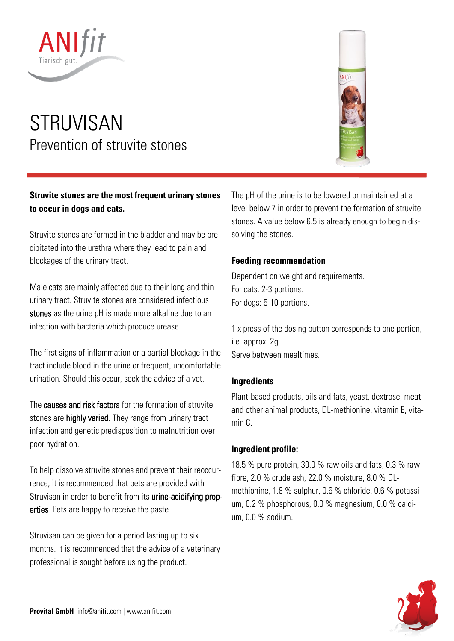

# STRUVISAN Prevention of struvite stones

## **Struvite stones are the most frequent urinary stones to occur in dogs and cats.**

Struvite stones are formed in the bladder and may be precipitated into the urethra where they lead to pain and blockages of the urinary tract.

Male cats are mainly affected due to their long and thin urinary tract. Struvite stones are considered infectious stones as the urine pH is made more alkaline due to an infection with bacteria which produce urease.

The first signs of inflammation or a partial blockage in the tract include blood in the urine or frequent, uncomfortable urination. Should this occur, seek the advice of a vet.

The causes and risk factors for the formation of struvite stones are highly varied. They range from urinary tract infection and genetic predisposition to malnutrition over poor hydration.

To help dissolve struvite stones and prevent their reoccurrence, it is recommended that pets are provided with Struvisan in order to benefit from its urine-acidifying properties. Pets are happy to receive the paste.

Struvisan can be given for a period lasting up to six months. It is recommended that the advice of a veterinary professional is sought before using the product.

The pH of the urine is to be lowered or maintained at a level below 7 in order to prevent the formation of struvite stones. A value below 6.5 is already enough to begin dissolving the stones.

#### **Feeding recommendation**

Dependent on weight and requirements. For cats: 2-3 portions. For dogs: 5-10 portions.

1 x press of the dosing button corresponds to one portion, i.e. approx. 2g. Serve between mealtimes.

#### **Ingredients**

Plant-based products, oils and fats, yeast, dextrose, meat and other animal products, DL-methionine, vitamin E, vitamin C.

#### **Ingredient profile:**

18.5 % pure protein, 30.0 % raw oils and fats, 0.3 % raw fibre, 2.0 % crude ash, 22.0 % moisture, 8.0 % DLmethionine, 1.8 % sulphur, 0.6 % chloride, 0.6 % potassium, 0.2 % phosphorous, 0.0 % magnesium, 0.0 % calcium, 0.0 % sodium.